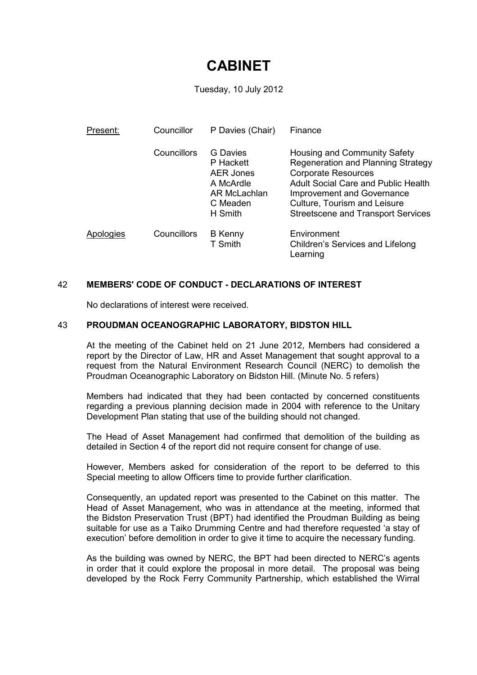# **CABINET**

Tuesday, 10 July 2012

| Present:  | Councillor  | P Davies (Chair)                                                                              | Finance                                                                                                                                                                                                                                                   |
|-----------|-------------|-----------------------------------------------------------------------------------------------|-----------------------------------------------------------------------------------------------------------------------------------------------------------------------------------------------------------------------------------------------------------|
|           | Councillors | G Davies<br>P Hackett<br><b>AER Jones</b><br>A McArdle<br>AR McLachlan<br>C Meaden<br>H Smith | Housing and Community Safety<br>Regeneration and Planning Strategy<br><b>Corporate Resources</b><br>Adult Social Care and Public Health<br><b>Improvement and Governance</b><br>Culture, Tourism and Leisure<br><b>Streetscene and Transport Services</b> |
| Apologies | Councillors | <b>B</b> Kenny<br>T Smith                                                                     | Environment<br>Children's Services and Lifelong<br>Learning                                                                                                                                                                                               |

# 42 **MEMBERS' CODE OF CONDUCT - DECLARATIONS OF INTEREST**

No declarations of interest were received.

### 43 **PROUDMAN OCEANOGRAPHIC LABORATORY, BIDSTON HILL**

At the meeting of the Cabinet held on 21 June 2012, Members had considered a report by the Director of Law, HR and Asset Management that sought approval to a request from the Natural Environment Research Council (NERC) to demolish the Proudman Oceanographic Laboratory on Bidston Hill. (Minute No. 5 refers)

Members had indicated that they had been contacted by concerned constituents regarding a previous planning decision made in 2004 with reference to the Unitary Development Plan stating that use of the building should not changed.

The Head of Asset Management had confirmed that demolition of the building as detailed in Section 4 of the report did not require consent for change of use.

However, Members asked for consideration of the report to be deferred to this Special meeting to allow Officers time to provide further clarification.

Consequently, an updated report was presented to the Cabinet on this matter. The Head of Asset Management, who was in attendance at the meeting, informed that the Bidston Preservation Trust (BPT) had identified the Proudman Building as being suitable for use as a Taiko Drumming Centre and had therefore requested 'a stay of execution' before demolition in order to give it time to acquire the necessary funding.

As the building was owned by NERC, the BPT had been directed to NERC's agents in order that it could explore the proposal in more detail. The proposal was being developed by the Rock Ferry Community Partnership, which established the Wirral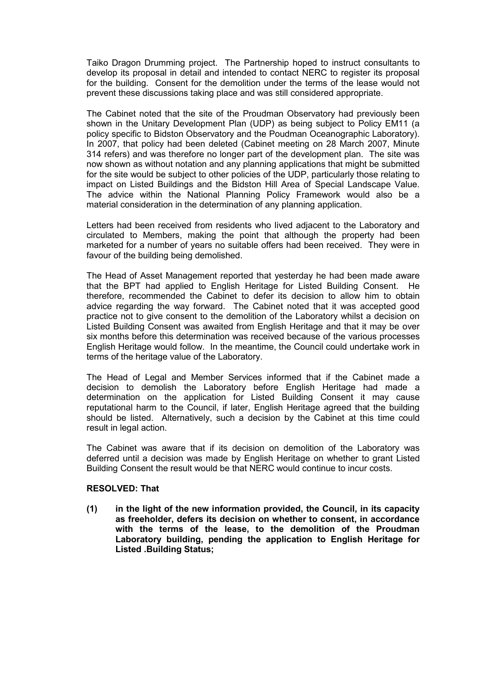Taiko Dragon Drumming project. The Partnership hoped to instruct consultants to develop its proposal in detail and intended to contact NERC to register its proposal for the building. Consent for the demolition under the terms of the lease would not prevent these discussions taking place and was still considered appropriate.

The Cabinet noted that the site of the Proudman Observatory had previously been shown in the Unitary Development Plan (UDP) as being subject to Policy EM11 (a policy specific to Bidston Observatory and the Poudman Oceanographic Laboratory). In 2007, that policy had been deleted (Cabinet meeting on 28 March 2007, Minute 314 refers) and was therefore no longer part of the development plan. The site was now shown as without notation and any planning applications that might be submitted for the site would be subject to other policies of the UDP, particularly those relating to impact on Listed Buildings and the Bidston Hill Area of Special Landscape Value. The advice within the National Planning Policy Framework would also be a material consideration in the determination of any planning application.

Letters had been received from residents who lived adjacent to the Laboratory and circulated to Members, making the point that although the property had been marketed for a number of years no suitable offers had been received. They were in favour of the building being demolished.

The Head of Asset Management reported that yesterday he had been made aware that the BPT had applied to English Heritage for Listed Building Consent. He therefore, recommended the Cabinet to defer its decision to allow him to obtain advice regarding the way forward. The Cabinet noted that it was accepted good practice not to give consent to the demolition of the Laboratory whilst a decision on Listed Building Consent was awaited from English Heritage and that it may be over six months before this determination was received because of the various processes English Heritage would follow. In the meantime, the Council could undertake work in terms of the heritage value of the Laboratory.

The Head of Legal and Member Services informed that if the Cabinet made a decision to demolish the Laboratory before English Heritage had made a determination on the application for Listed Building Consent it may cause reputational harm to the Council, if later, English Heritage agreed that the building should be listed. Alternatively, such a decision by the Cabinet at this time could result in legal action.

The Cabinet was aware that if its decision on demolition of the Laboratory was deferred until a decision was made by English Heritage on whether to grant Listed Building Consent the result would be that NERC would continue to incur costs.

### **RESOLVED: That**

**(1) in the light of the new information provided, the Council, in its capacity as freeholder, defers its decision on whether to consent, in accordance with the terms of the lease, to the demolition of the Proudman Laboratory building, pending the application to English Heritage for Listed .Building Status;**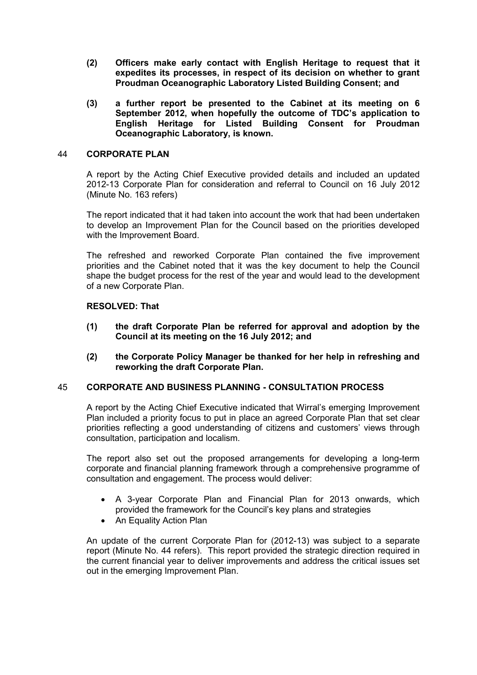- **(2) Officers make early contact with English Heritage to request that it expedites its processes, in respect of its decision on whether to grant Proudman Oceanographic Laboratory Listed Building Consent; and**
- **(3) a further report be presented to the Cabinet at its meeting on 6 September 2012, when hopefully the outcome of TDC's application to English Heritage for Listed Building Consent for Proudman Oceanographic Laboratory, is known.**

## 44 **CORPORATE PLAN**

A report by the Acting Chief Executive provided details and included an updated 2012-13 Corporate Plan for consideration and referral to Council on 16 July 2012 (Minute No. 163 refers)

The report indicated that it had taken into account the work that had been undertaken to develop an Improvement Plan for the Council based on the priorities developed with the Improvement Board.

The refreshed and reworked Corporate Plan contained the five improvement priorities and the Cabinet noted that it was the key document to help the Council shape the budget process for the rest of the year and would lead to the development of a new Corporate Plan.

## **RESOLVED: That**

- **(1) the draft Corporate Plan be referred for approval and adoption by the Council at its meeting on the 16 July 2012; and**
- **(2) the Corporate Policy Manager be thanked for her help in refreshing and reworking the draft Corporate Plan.**

### 45 **CORPORATE AND BUSINESS PLANNING - CONSULTATION PROCESS**

A report by the Acting Chief Executive indicated that Wirral's emerging Improvement Plan included a priority focus to put in place an agreed Corporate Plan that set clear priorities reflecting a good understanding of citizens and customers' views through consultation, participation and localism.

The report also set out the proposed arrangements for developing a long-term corporate and financial planning framework through a comprehensive programme of consultation and engagement. The process would deliver:

- A 3-year Corporate Plan and Financial Plan for 2013 onwards, which provided the framework for the Council's key plans and strategies
- An Equality Action Plan

An update of the current Corporate Plan for (2012-13) was subject to a separate report (Minute No. 44 refers). This report provided the strategic direction required in the current financial year to deliver improvements and address the critical issues set out in the emerging Improvement Plan.